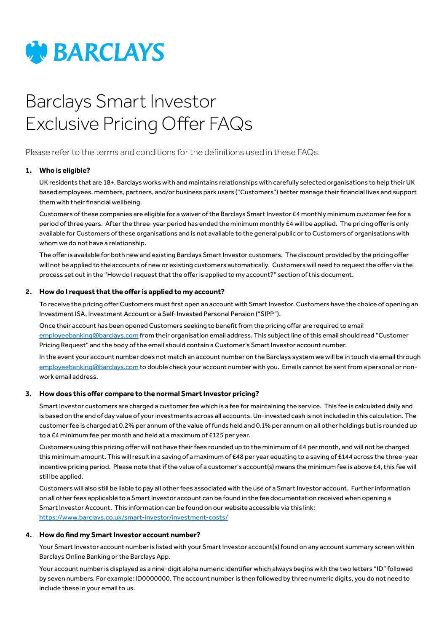

# Barclays Smart Investor Exclusive Pricing Offer FAQs

Please refer to the terms and conditions for the definitions used in these FAQs.

## **1. Who is eligible?**

 UK residents that are 18+. Barclays works with and maintains relationships with carefully selected organisations to help their UK based employees, members, partners, and/or business park users ("Customers") better manage their financial lives and support them with their financial wellbeing.

Customers of these companies are eligible for a waiver of the Barclays Smart Investor £4 monthly minimum customer fee for a period of three years. After the three-year period has ended the minimum monthly £4 will be applied. The pricing offer is only available for Customers of these organisations and is not available to the general public or to Customers of organisations with whom we do not have a relationship.

The offer is available for both new and existing Barclays Smart Investor customers. The discount provided by the pricing offer will not be applied to the accounts of new or existing customers automatically. Customers will need to request the offer via the process set out in the "How do I request that the offer is applied to my account?" section of this document.

#### **2. How do Irequest that the offeris applied to my account?**

To receive the pricing offer Customers must first open an account with Smart Investor. Customers have the choice of opening an Investment ISA, Investment Account or a Self-Invested Personal Pension ("SIPP").

Once their account has been opened Customers seeking to benefit from the pricing offer are required to email [employeebanking@barclays.com](mailto:employeebanking%40barclays.com?subject=) from their organisation email address. This subject line of this email should read "Customer Pricing Request" and the body of the email should contain a Customer's Smart Investor account number.

In the event your account number does not match an account number on the Barclays system we will be in touch via email through [employeebanking@barclays.com](mailto:employeebanking%40barclays.com?subject=) to double check your account number with you. Emails cannot be sent from a personal or nonwork email address.

## **3. How does this offer compare to the normal Smart Investor pricing?**

Smart Investor customers are charged a customer fee which is a fee for maintaining the service. This fee is calculated daily and is based on the end of day value of your investments across all accounts. Un-invested cash is not included in this calculation. The customer fee is charged at 0.2% per annum of the value of funds held and 0.1% per annum on all other holdings but is rounded up to a £4 minimum fee per month and held at a maximum of £125 per year.

Customers using this pricing offer will not have their fees rounded up to the minimum of £4 per month, and will not be charged this minimum amount. This will result in a saving of a maximum of £48 per year equating to a saving of £144 across the three-year incentive pricing period. Please note that if the value of a customer's account(s) means the minimum fee is above £4, this fee will still be applied.

Customers will also still be liable to pay all other fees associated with the use of a Smart Investor account. Further information on all other fees applicable to a Smart Investor account can be found in the fee documentation received when opening a Smart Investor Account. This information can be found on our website accessible via this link: <https://www.barclays.co.uk/smart-investor/investment-costs/>

#### **4. How do find my Smart Investor account number?**

Your Smart Investor account number is listed with your Smart Investor account(s) found on any account summary screen within Barclays Online Banking or the Barclays App.

Your account number is displayed as a nine-digit alpha numeric identifier which always begins with the two letters "ID" followed by seven numbers. For example: ID0000000. The account number is then followed by three numeric digits, you do not need to include these in your email to us.